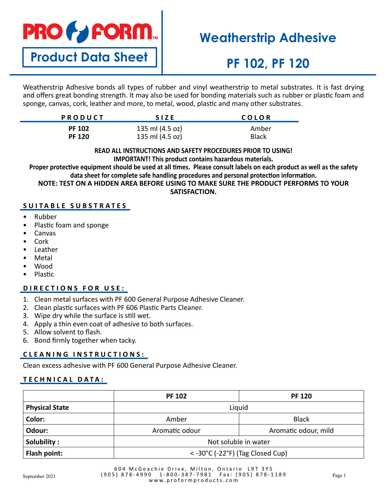

**Product Data Sheet**

## **Weatherstrip Adhesive**

# **PF 102, PF 120**

Weatherstrip Adhesive bonds all types of rubber and vinyl weatherstrip to metal substrates. It is fast drying and offers great bonding strength. It may also be used for bonding materials such as rubber or plastic foam and sponge, canvas, cork, leather and more, to metal, wood, plastic and many other substrates.

| <b>PRODUCT</b> | <b>SIZE</b>     | COLOR        |
|----------------|-----------------|--------------|
| <b>PF 102</b>  | 135 ml (4.5 oz) | Amber        |
| <b>PF 120</b>  | 135 ml (4.5 oz) | <b>Black</b> |

#### **READ ALL INSTRUCTIONS AND SAFETY PROCEDURES PRIOR TO USING! IMPORTANT! This product contains hazardous materials.**

**Proper protective equipment should be used at all times. Please consult labels on each product as well as the safety data sheet for complete safe handling procedures and personal protection information. NOTE: TEST ON A HIDDEN AREA BEFORE USING TO MAKE SURE THE PRODUCT PERFORMS TO YOUR** 

**SATISFACTION.**

## **SUITABLE SUBSTRATES**

- Rubber
- Plastic foam and sponge
- Canvas
- Cork
- Leather
- **Metal**
- Wood
- Plastic

## **DIRECTIONS FOR USE:**

- 1. Clean metal surfaces with PF 600 General Purpose Adhesive Cleaner.
- 2. Clean plastic surfaces with PF 606 Plastic Parts Cleaner.
- 3. Wipe dry while the surface is still wet.
- 4. Apply a thin even coat of adhesive to both surfaces.
- 5. Allow solvent to flash.
- 6. Bond firmly together when tacky.

## **C L E A N I N G I N S T R U C T I O N S :**

Clean excess adhesive with PF 600 General Purpose Adhesive Cleaner.

## **TECHNICAL DATA:**

|                       | <b>PF 102</b>                      | <b>PF 120</b>        |
|-----------------------|------------------------------------|----------------------|
| <b>Physical State</b> | Liquid                             |                      |
| Color:                | Amber                              | <b>Black</b>         |
| Odour:                | Aromatic odour                     | Aromatic odour, mild |
| Solubility:           | Not soluble in water               |                      |
| Flash point:          | $<$ -30°C (-22°F) (Tag Closed Cup) |                      |